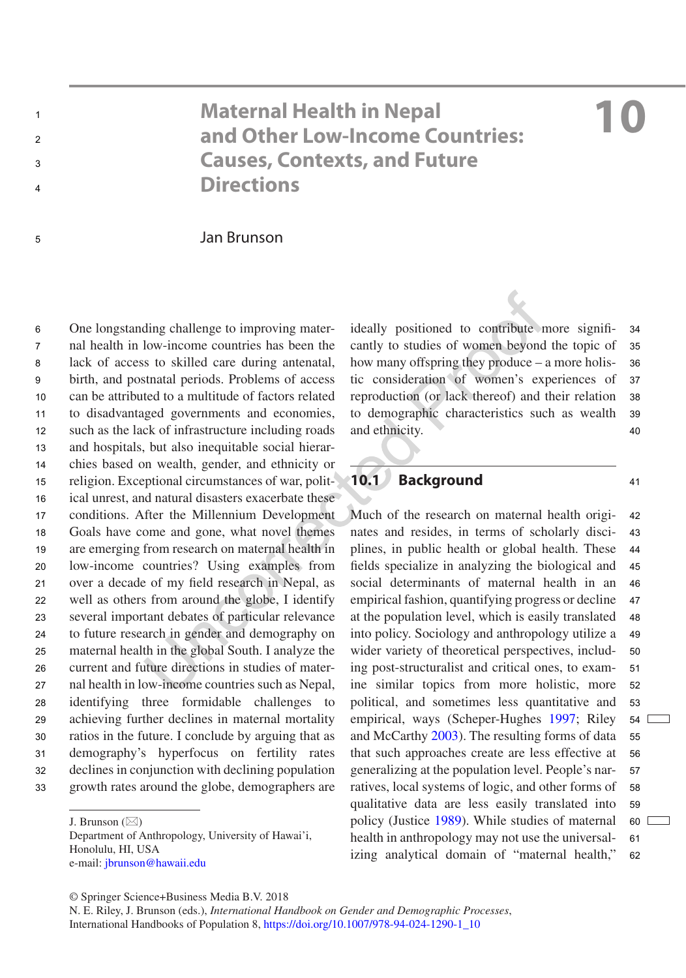$\mathfrak{p}$ 

- 3
- 4

5

# **Maternal Health in Nepal and Other Low-Income Countries:**<br> **10** 2 **Causes, Contexts, and Future Directions**

41

### Jan Brunson

One longstanding challenge to improving maternal health in low-income countries has been the lack of access to skilled care during antenatal, birth, and postnatal periods. Problems of access can be attributed to a multitude of factors related to disadvantaged governments and economies, such as the lack of infrastructure including roads and hospitals, but also inequitable social hierarchies based on wealth, gender, and ethnicity or religion. Exceptional circumstances of war, political unrest, and natural disasters exacerbate these conditions. After the Millennium Development Goals have come and gone, what novel themes are emerging from research on maternal health in low-income countries? Using examples from over a decade of my field research in Nepal, as well as others from around the globe, I identify several important debates of particular relevance to future research in gender and demography on maternal health in the global South. I analyze the current and future directions in studies of maternal health in low-income countries such as Nepal, identifying three formidable challenges to achieving further declines in maternal mortality ratios in the future. I conclude by arguing that as demography's hyperfocus on fertility rates declines in conjunction with declining population growth rates around the globe, demographers are 6 7 8 9 10 11 12 13 14 15 16 17 18 19 20 21 22 23 24 25 26 27 28 29 30 31 32 33

ideally positioned to contribute more significantly to studies of women beyond the topic of how many offspring they produce – a more holistic consideration of women's experiences of reproduction (or lack thereof) and their relation to demographic characteristics such as wealth and ethnicity. 34 35 36 37 38 39 40

## **10.1 Background**

Much of the research on maternal health originates and resides, in terms of scholarly disciplines, in public health or global health. These fields specialize in analyzing the biological and social determinants of maternal health in an empirical fashion, quantifying progress or decline at the population level, which is easily translated into policy. Sociology and anthropology utilize a wider variety of theoretical perspectives, including post-structuralist and critical ones, to examine similar topics from more holistic, more political, and sometimes less quantitative and empirical, ways (Scheper-Hughes [1997;](#page-11-0) Riley and McCarthy [2003\)](#page-11-0). The resulting forms of data that such approaches create are less effective at generalizing at the population level. People's narratives, local systems of logic, and other forms of qualitative data are less easily translated into policy (Justice [1989\)](#page-11-0). While studies of maternal health in anthropology may not use the universalizing analytical domain of "maternal health," 42  $\overline{43}$ 44 45 46 47 48  $49$ 50 51 52 53 54 55 56 57 58 59 60 61 62

J. Brunson  $(\boxtimes)$ 

Department of Anthropology, University of Hawai'i, Honolulu, HI, USA e-mail[: jbrunson@hawaii.edu](mailto:jbrunson@hawaii.edu)

<sup>©</sup> Springer Science+Business Media B.V. 2018

N. E. Riley, J. Brunson (eds.), *International Handbook on Gender and Demographic Processes*, International Handbooks of Population 8, [https://doi.org/10.1007/978-94-024-1290-1\\_10](https://doi.org/10.1007/978-94-024-1290-1_10)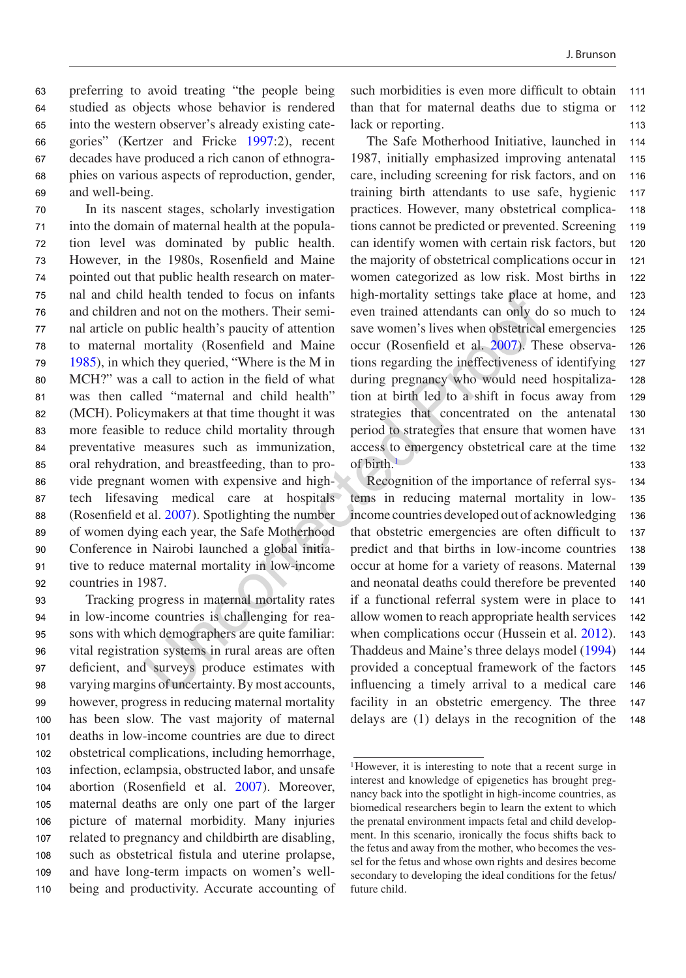preferring to avoid treating "the people being studied as objects whose behavior is rendered into the western observer's already existing categories" (Kertzer and Fricke [1997](#page-11-0):2), recent decades have produced a rich canon of ethnographies on various aspects of reproduction, gender, and well-being. 63 64 65 66 67 68 69

In its nascent stages, scholarly investigation into the domain of maternal health at the population level was dominated by public health. However, in the 1980s, Rosenfield and Maine pointed out that public health research on maternal and child health tended to focus on infants and children and not on the mothers. Their seminal article on public health's paucity of attention to maternal mortality (Rosenfield and Maine [1985](#page-11-0)), in which they queried, "Where is the M in MCH?" was a call to action in the field of what was then called "maternal and child health" (MCH). Policymakers at that time thought it was more feasible to reduce child mortality through preventative measures such as immunization, oral rehydration, and breastfeeding, than to provide pregnant women with expensive and hightech lifesaving medical care at hospitals (Rosenfield et al. [2007](#page-11-0)). Spotlighting the number of women dying each year, the Safe Motherhood Conference in Nairobi launched a global initiative to reduce maternal mortality in low-income countries in 1987. 70 71 72 73 74 75 76 77 78 79 80 81 82 83 84 85 86 87 88 89 90 91 92

Tracking progress in maternal mortality rates in low-income countries is challenging for reasons with which demographers are quite familiar: vital registration systems in rural areas are often deficient, and surveys produce estimates with varying margins of uncertainty. By most accounts, however, progress in reducing maternal mortality has been slow. The vast majority of maternal deaths in low-income countries are due to direct obstetrical complications, including hemorrhage, infection, eclampsia, obstructed labor, and unsafe abortion (Rosenfield et al. [2007](#page-11-0)). Moreover, maternal deaths are only one part of the larger picture of maternal morbidity. Many injuries related to pregnancy and childbirth are disabling, such as obstetrical fistula and uterine prolapse, and have long-term impacts on women's wellbeing and productivity. Accurate accounting of 93 94 95 96 97 98 99 100 101 102 103 104 105 106 107 108 109 110

such morbidities is even more difficult to obtain than that for maternal deaths due to stigma or lack or reporting. 111 112 113

The Safe Motherhood Initiative, launched in 1987, initially emphasized improving antenatal care, including screening for risk factors, and on training birth attendants to use safe, hygienic practices. However, many obstetrical complications cannot be predicted or prevented. Screening can identify women with certain risk factors, but the majority of obstetrical complications occur in women categorized as low risk. Most births in high-mortality settings take place at home, and even trained attendants can only do so much to save women's lives when obstetrical emergencies occur (Rosenfield et al. [2007\)](#page-11-0). These observations regarding the ineffectiveness of identifying during pregnancy who would need hospitalization at birth led to a shift in focus away from strategies that concentrated on the antenatal period to strategies that ensure that women have access to emergency obstetrical care at the time of birth.<sup>1</sup> 114 115 116 117 118 119 120 121 122 123 124 125 126 127 128 129 130 131 132 133

Recognition of the importance of referral systems in reducing maternal mortality in lowincome countries developed out of acknowledging that obstetric emergencies are often difficult to predict and that births in low-income countries occur at home for a variety of reasons. Maternal and neonatal deaths could therefore be prevented if a functional referral system were in place to allow women to reach appropriate health services when complications occur (Hussein et al. [2012\)](#page-11-0). Thaddeus and Maine's three delays model [\(1994](#page-12-0)) provided a conceptual framework of the factors influencing a timely arrival to a medical care facility in an obstetric emergency. The three delays are (1) delays in the recognition of the 134 135 136 137 138 139 140 141 142 143 144 145 146 147 148

<sup>1</sup>However, it is interesting to note that a recent surge in interest and knowledge of epigenetics has brought pregnancy back into the spotlight in high-income countries, as biomedical researchers begin to learn the extent to which the prenatal environment impacts fetal and child development. In this scenario, ironically the focus shifts back to the fetus and away from the mother, who becomes the vessel for the fetus and whose own rights and desires become secondary to developing the ideal conditions for the fetus/ future child.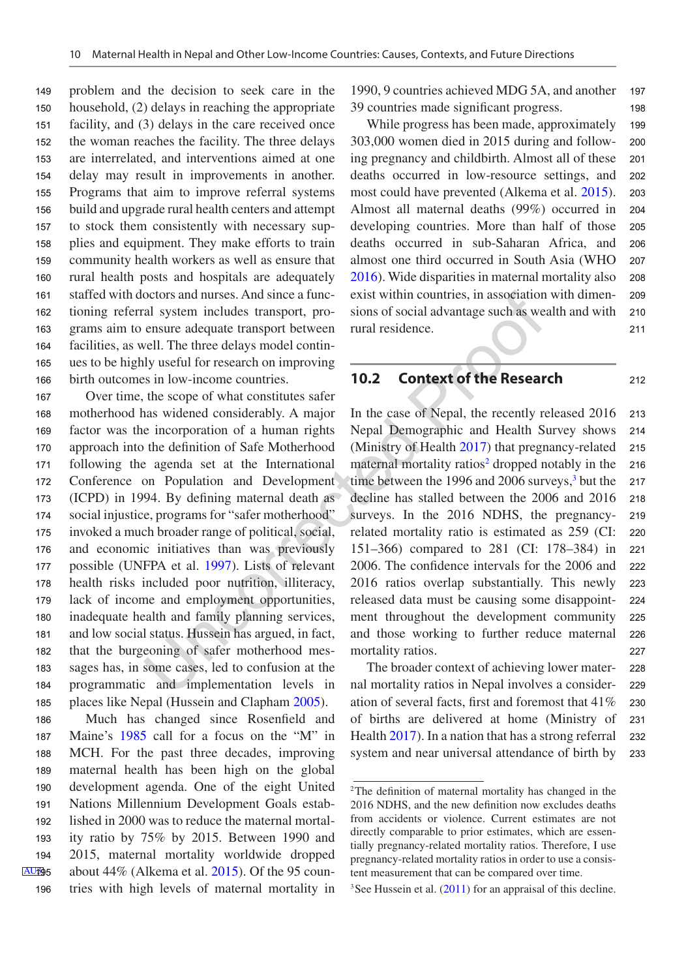problem and the decision to seek care in the household, (2) delays in reaching the appropriate facility, and (3) delays in the care received once the woman reaches the facility. The three delays are interrelated, and interventions aimed at one delay may result in improvements in another. Programs that aim to improve referral systems build and upgrade rural health centers and attempt to stock them consistently with necessary supplies and equipment. They make efforts to train community health workers as well as ensure that rural health posts and hospitals are adequately staffed with doctors and nurses. And since a functioning referral system includes transport, programs aim to ensure adequate transport between facilities, as well. The three delays model continues to be highly useful for research on improving birth outcomes in low-income countries. 149 150 151 152 153 154 155 156 157 158 159 160 161 162 163 164 165 166

Over time, the scope of what constitutes safer motherhood has widened considerably. A major factor was the incorporation of a human rights approach into the definition of Safe Motherhood following the agenda set at the International Conference on Population and Development (ICPD) in 1994. By defining maternal death as social injustice, programs for "safer motherhood" invoked a much broader range of political, social, and economic initiatives than was previously possible (UNFPA et al. [1997](#page-12-0)). Lists of relevant health risks included poor nutrition, illiteracy, lack of income and employment opportunities, inadequate health and family planning services, and low social status. Hussein has argued, in fact, that the burgeoning of safer motherhood messages has, in some cases, led to confusion at the programmatic and implementation levels in places like Nepal (Hussein and Clapham [2005\)](#page-11-0). 167 168 169 170 171 172 173 174 175 176 177 178 179 180 181 182 183 184 185

Much has changed since Rosenfield and Maine's [1985](#page-11-0) call for a focus on the "M" in MCH. For the past three decades, improving maternal health has been high on the global development agenda. One of the eight United Nations Millennium Development Goals established in 2000 was to reduce the maternal mortality ratio by 75% by 2015. Between 1990 and 2015, maternal mortality worldwide dropped about 44% (Alkema et al. [2015\)](#page-10-0). Of the 95 countries with high levels of maternal mortality in [AU3](#page--1-0)95 186 187 188 189 190 191 192 193 194 196

1990, 9 countries achieved MDG 5A, and another 39 countries made significant progress. 197 198

While progress has been made, approximately 303,000 women died in 2015 during and following pregnancy and childbirth. Almost all of these deaths occurred in low-resource settings, and most could have prevented (Alkema et al. [2015\)](#page-10-0). Almost all maternal deaths (99%) occurred in developing countries. More than half of those deaths occurred in sub-Saharan Africa, and almost one third occurred in South Asia (WHO [2016\)](#page-12-0). Wide disparities in maternal mortality also exist within countries, in association with dimensions of social advantage such as wealth and with rural residence. 199 200 201 202 203 204 205 206 207 208 209 210 211

212

### **10.2 Context of the Research**

In the case of Nepal, the recently released 2016 Nepal Demographic and Health Survey shows (Ministry of Health [2017](#page-11-0)) that pregnancy-related maternal mortality ratios<sup>2</sup> dropped notably in the time between the 1996 and 2006 surveys, $3$  but the decline has stalled between the 2006 and 2016 surveys. In the 2016 NDHS, the pregnancyrelated mortality ratio is estimated as 259 (CI: 151–366) compared to 281 (CI: 178–384) in 2006. The confidence intervals for the 2006 and 2016 ratios overlap substantially. This newly released data must be causing some disappointment throughout the development community and those working to further reduce maternal mortality ratios. 213 214 215 216 217 218 219 220 221 222 223 224 225 226 227

The broader context of achieving lower maternal mortality ratios in Nepal involves a consideration of several facts, first and foremost that 41% of births are delivered at home (Ministry of Health [2017\)](#page-11-0). In a nation that has a strong referral system and near universal attendance of birth by 228 229 230 231 232 233

<sup>2</sup>The definition of maternal mortality has changed in the 2016 NDHS, and the new definition now excludes deaths from accidents or violence. Current estimates are not directly comparable to prior estimates, which are essentially pregnancy-related mortality ratios. Therefore, I use pregnancy-related mortality ratios in order to use a consistent measurement that can be compared over time.

 $3$ See Hussein et al. [\(2011](#page-11-0)) for an appraisal of this decline.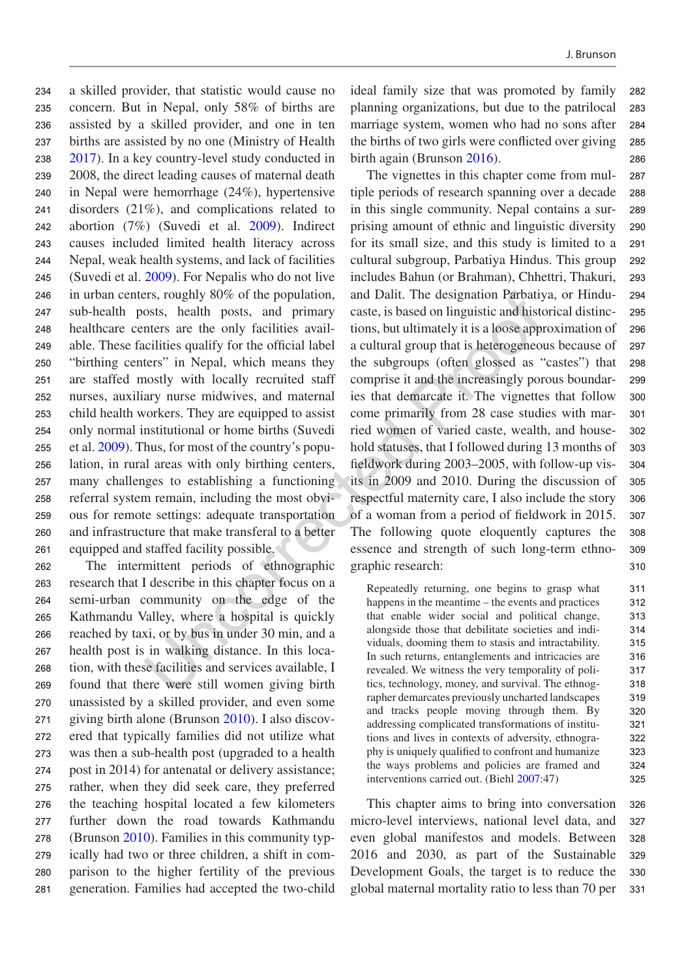a skilled provider, that statistic would cause no concern. But in Nepal, only 58% of births are assisted by a skilled provider, and one in ten births are assisted by no one (Ministry of Health [2017](#page-11-0)). In a key country-level study conducted in 2008, the direct leading causes of maternal death in Nepal were hemorrhage (24%), hypertensive disorders (21%), and complications related to abortion (7%) (Suvedi et al. [2009](#page-12-0)). Indirect causes included limited health literacy across Nepal, weak health systems, and lack of facilities (Suvedi et al. [2009\)](#page-12-0). For Nepalis who do not live in urban centers, roughly 80% of the population, sub-health posts, health posts, and primary healthcare centers are the only facilities available. These facilities qualify for the official label "birthing centers" in Nepal, which means they are staffed mostly with locally recruited staff nurses, auxiliary nurse midwives, and maternal child health workers. They are equipped to assist only normal institutional or home births (Suvedi et al. [2009](#page-12-0)). Thus, for most of the country's population, in rural areas with only birthing centers, many challenges to establishing a functioning referral system remain, including the most obvious for remote settings: adequate transportation and infrastructure that make transferal to a better equipped and staffed facility possible. 234 235 236 237 238 239 240 241 242 243 244 245 246 247 248 249 250 251 252 253 254 255 256 257 258 259 260 261

The intermittent periods of ethnographic research that I describe in this chapter focus on a semi-urban community on the edge of the Kathmandu Valley, where a hospital is quickly reached by taxi, or by bus in under 30 min, and a health post is in walking distance. In this location, with these facilities and services available, I found that there were still women giving birth unassisted by a skilled provider, and even some giving birth alone (Brunson [2010](#page-10-0)). I also discovered that typically families did not utilize what was then a sub-health post (upgraded to a health post in 2014) for antenatal or delivery assistance; rather, when they did seek care, they preferred the teaching hospital located a few kilometers further down the road towards Kathmandu (Brunson [2010\)](#page-10-0). Families in this community typically had two or three children, a shift in comparison to the higher fertility of the previous generation. Families had accepted the two-child 262 263 264 265 266 267 268 269 270 271 272 273 274 275 276 277 278 279 280 281

ideal family size that was promoted by family planning organizations, but due to the patrilocal marriage system, women who had no sons after the births of two girls were conflicted over giving birth again (Brunson [2016](#page-10-0)). 282 283 284 285 286

The vignettes in this chapter come from multiple periods of research spanning over a decade in this single community. Nepal contains a surprising amount of ethnic and linguistic diversity for its small size, and this study is limited to a cultural subgroup, Parbatiya Hindus. This group includes Bahun (or Brahman), Chhettri, Thakuri, and Dalit. The designation Parbatiya, or Hinducaste, is based on linguistic and historical distinctions, but ultimately it is a loose approximation of a cultural group that is heterogeneous because of the subgroups (often glossed as "castes") that comprise it and the increasingly porous boundaries that demarcate it. The vignettes that follow come primarily from 28 case studies with married women of varied caste, wealth, and household statuses, that I followed during 13 months of fieldwork during 2003–2005, with follow-up visits in 2009 and 2010. During the discussion of respectful maternity care, I also include the story of a woman from a period of fieldwork in 2015. The following quote eloquently captures the essence and strength of such long-term ethnographic research: 287 288 289 290 291 292 293 294 295 296 297 298 299 300 301 302 303 304 305 306 307 308 309 310

Repeatedly returning, one begins to grasp what happens in the meantime – the events and practices that enable wider social and political change, alongside those that debilitate societies and individuals, dooming them to stasis and intractability. In such returns, entanglements and intricacies are revealed. We witness the very temporality of politics, technology, money, and survival. The ethnographer demarcates previously uncharted landscapes and tracks people moving through them. By addressing complicated transformations of institutions and lives in contexts of adversity, ethnography is uniquely qualified to confront and humanize the ways problems and policies are framed and interventions carried out. (Biehl [2007:](#page-10-0)47) 311 312 313 314 315 316 317 318 319 320 321 322 323 324 325

This chapter aims to bring into conversation micro-level interviews, national level data, and even global manifestos and models. Between 2016 and 2030, as part of the Sustainable Development Goals, the target is to reduce the global maternal mortality ratio to less than 70 per 326 327 328 329 330 331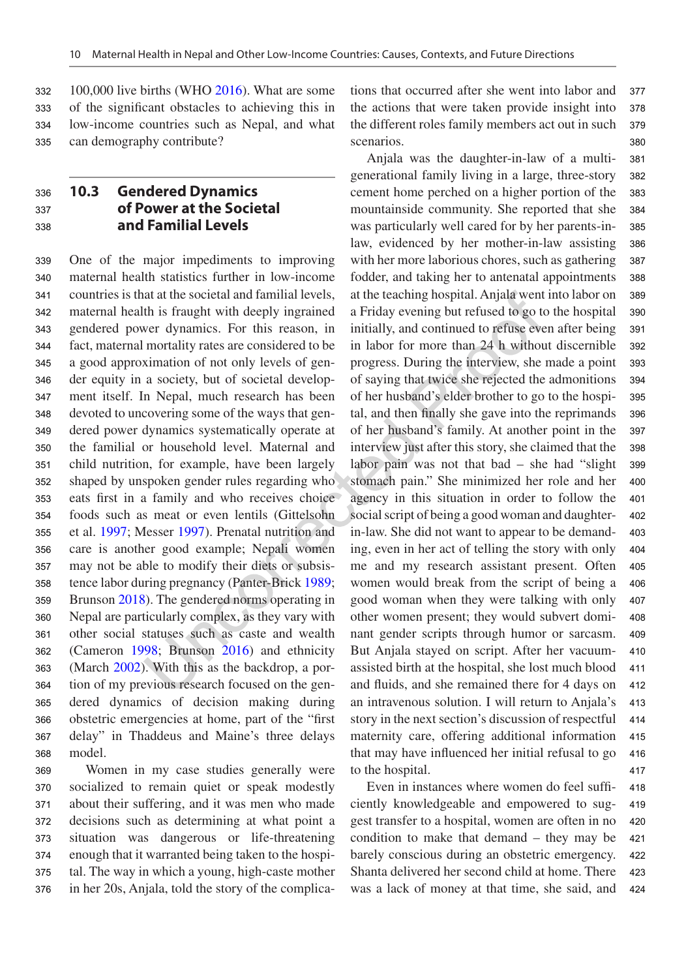100,000 live births (WHO [2016](#page-12-0)). What are some of the significant obstacles to achieving this in low-income countries such as Nepal, and what can demography contribute? 332 333 334 335

#### **10.3 Gendered Dynamics of Power at the Societal and Familial Levels** 336 337 338

One of the major impediments to improving maternal health statistics further in low-income countries is that at the societal and familial levels, maternal health is fraught with deeply ingrained gendered power dynamics. For this reason, in fact, maternal mortality rates are considered to be a good approximation of not only levels of gender equity in a society, but of societal development itself. In Nepal, much research has been devoted to uncovering some of the ways that gendered power dynamics systematically operate at the familial or household level. Maternal and child nutrition, for example, have been largely shaped by unspoken gender rules regarding who eats first in a family and who receives choice foods such as meat or even lentils (Gittelsohn et al. [1997;](#page-11-0) Messer [1997\)](#page-11-0). Prenatal nutrition and care is another good example; Nepali women may not be able to modify their diets or subsistence labor during pregnancy (Panter-Brick [1989;](#page-11-0) Brunson [2018](#page-10-0)). The gendered norms operating in Nepal are particularly complex, as they vary with other social statuses such as caste and wealth (Cameron [1998](#page-11-0); Brunson [2016](#page-10-0)) and ethnicity (March [2002\)](#page-11-0). With this as the backdrop, a portion of my previous research focused on the gendered dynamics of decision making during obstetric emergencies at home, part of the "first delay" in Thaddeus and Maine's three delays model. 339 340 341 342 343 344 345 346 347 348 349 350 351 352 353 354 355 356 357 358 359 360 361 362 363 364 365 366 367 368

Women in my case studies generally were socialized to remain quiet or speak modestly about their suffering, and it was men who made decisions such as determining at what point a situation was dangerous or life-threatening enough that it warranted being taken to the hospital. The way in which a young, high-caste mother in her 20s, Anjala, told the story of the complica-369 370 371 372 373 374 375 376

tions that occurred after she went into labor and the actions that were taken provide insight into the different roles family members act out in such scenarios. 377 378 379 380

Anjala was the daughter-in-law of a multigenerational family living in a large, three-story cement home perched on a higher portion of the mountainside community. She reported that she was particularly well cared for by her parents-inlaw, evidenced by her mother-in-law assisting with her more laborious chores, such as gathering fodder, and taking her to antenatal appointments at the teaching hospital. Anjala went into labor on a Friday evening but refused to go to the hospital initially, and continued to refuse even after being in labor for more than 24 h without discernible progress. During the interview, she made a point of saying that twice she rejected the admonitions of her husband's elder brother to go to the hospital, and then finally she gave into the reprimands of her husband's family. At another point in the interview just after this story, she claimed that the labor pain was not that  $bad - she$  had "slight" stomach pain." She minimized her role and her agency in this situation in order to follow the social script of being a good woman and daughterin-law. She did not want to appear to be demanding, even in her act of telling the story with only me and my research assistant present. Often women would break from the script of being a good woman when they were talking with only other women present; they would subvert dominant gender scripts through humor or sarcasm. But Anjala stayed on script. After her vacuumassisted birth at the hospital, she lost much blood and fluids, and she remained there for 4 days on an intravenous solution. I will return to Anjala's story in the next section's discussion of respectful maternity care, offering additional information that may have influenced her initial refusal to go to the hospital. 381 382 383 384 385 386 387 388 389 390 391 392 393 394 395 396 397 398 399 400 401 402 403 404 405 406 407 408  $409$ 410 411 412 413 414 415 416 417

Even in instances where women do feel sufficiently knowledgeable and empowered to suggest transfer to a hospital, women are often in no condition to make that demand – they may be barely conscious during an obstetric emergency. Shanta delivered her second child at home. There was a lack of money at that time, she said, and 418 419 420 421 422 423 424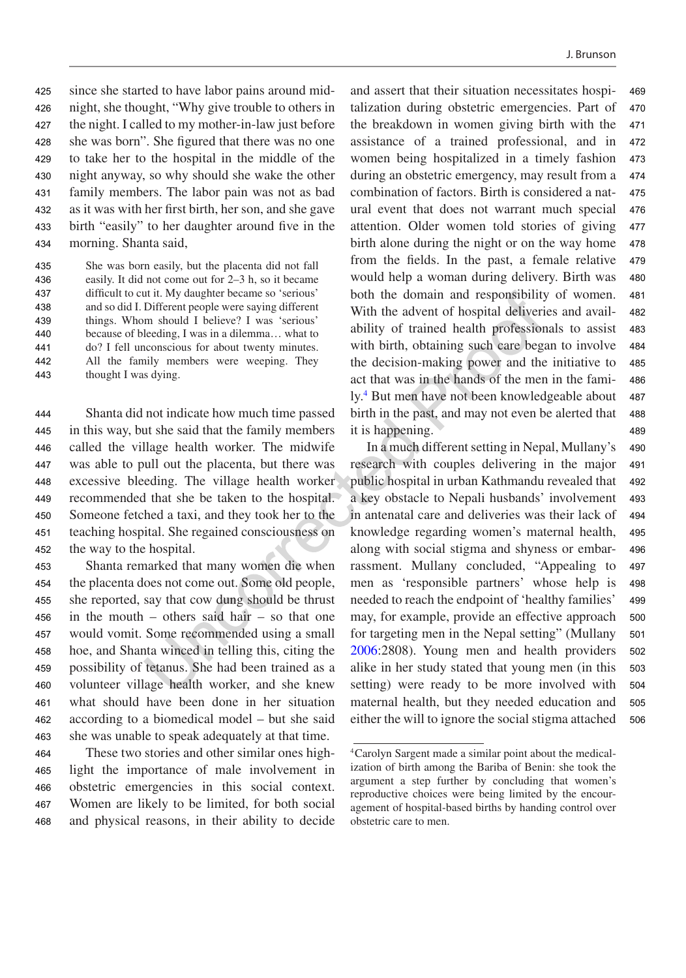since she started to have labor pains around midnight, she thought, "Why give trouble to others in the night. I called to my mother-in-law just before she was born". She figured that there was no one to take her to the hospital in the middle of the night anyway, so why should she wake the other family members. The labor pain was not as bad as it was with her first birth, her son, and she gave birth "easily" to her daughter around five in the morning. Shanta said, 425 426 427 428 429 430 431 432 433 434

She was born easily, but the placenta did not fall easily. It did not come out for 2–3 h, so it became difficult to cut it. My daughter became so 'serious' and so did I. Different people were saying different things. Whom should I believe? I was 'serious' because of bleeding, I was in a dilemma… what to do? I fell unconscious for about twenty minutes. All the family members were weeping. They thought I was dying. 435 436 437 438 439 440 441 442 443

Shanta did not indicate how much time passed in this way, but she said that the family members called the village health worker. The midwife was able to pull out the placenta, but there was excessive bleeding. The village health worker recommended that she be taken to the hospital. Someone fetched a taxi, and they took her to the teaching hospital. She regained consciousness on the way to the hospital. 444 445 446 447 448 449 450 451 452

Shanta remarked that many women die when the placenta does not come out. Some old people, she reported, say that cow dung should be thrust in the mouth  $-$  others said hair  $-$  so that one would vomit. Some recommended using a small hoe, and Shanta winced in telling this, citing the possibility of tetanus. She had been trained as a volunteer village health worker, and she knew what should have been done in her situation according to a biomedical model – but she said she was unable to speak adequately at that time. 453 454 455 456 457 458 459 460 461 462 463

These two stories and other similar ones highlight the importance of male involvement in obstetric emergencies in this social context. Women are likely to be limited, for both social and physical reasons, in their ability to decide 464 465 466 467 468

and assert that their situation necessitates hospitalization during obstetric emergencies. Part of the breakdown in women giving birth with the assistance of a trained professional, and in women being hospitalized in a timely fashion during an obstetric emergency, may result from a combination of factors. Birth is considered a natural event that does not warrant much special attention. Older women told stories of giving birth alone during the night or on the way home from the fields. In the past, a female relative would help a woman during delivery. Birth was both the domain and responsibility of women. With the advent of hospital deliveries and availability of trained health professionals to assist with birth, obtaining such care began to involve the decision-making power and the initiative to act that was in the hands of the men in the family.4 But men have not been knowledgeable about birth in the past, and may not even be alerted that it is happening. 469 470 471 472 473 474 475 476 477 478 479 480 481 482 483 484 485 486 487 488 489

In a much different setting in Nepal, Mullany's research with couples delivering in the major public hospital in urban Kathmandu revealed that a key obstacle to Nepali husbands' involvement in antenatal care and deliveries was their lack of knowledge regarding women's maternal health, along with social stigma and shyness or embarrassment. Mullany concluded, "Appealing to men as 'responsible partners' whose help is needed to reach the endpoint of 'healthy families' may, for example, provide an effective approach for targeting men in the Nepal setting" (Mullany [2006:](#page-11-0)2808). Young men and health providers alike in her study stated that young men (in this setting) were ready to be more involved with maternal health, but they needed education and either the will to ignore the social stigma attached 490 491 492 493 494 495 496 497 498 499 500 501 502 503 504 505 506

<sup>4</sup>Carolyn Sargent made a similar point about the medicalization of birth among the Bariba of Benin: she took the argument a step further by concluding that women's reproductive choices were being limited by the encouragement of hospital-based births by handing control over obstetric care to men.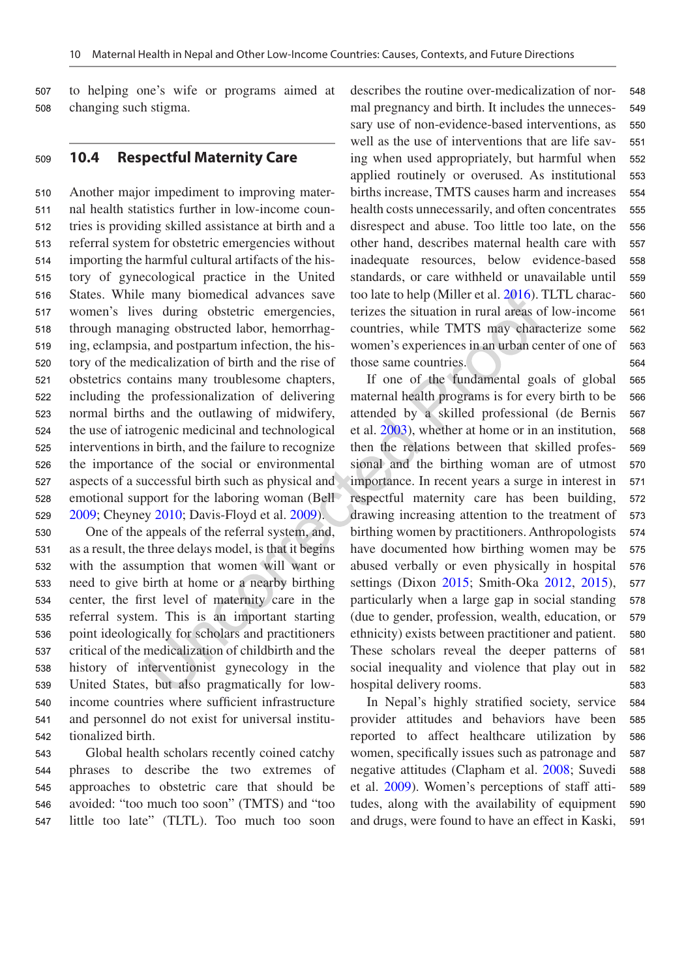to helping one's wife or programs aimed at changing such stigma. 507 508

#### **10.4 Respectful Maternity Care** 509

Another major impediment to improving maternal health statistics further in low-income countries is providing skilled assistance at birth and a referral system for obstetric emergencies without importing the harmful cultural artifacts of the history of gynecological practice in the United States. While many biomedical advances save women's lives during obstetric emergencies, through managing obstructed labor, hemorrhaging, eclampsia, and postpartum infection, the history of the medicalization of birth and the rise of obstetrics contains many troublesome chapters, including the professionalization of delivering normal births and the outlawing of midwifery, the use of iatrogenic medicinal and technological interventions in birth, and the failure to recognize the importance of the social or environmental aspects of a successful birth such as physical and emotional support for the laboring woman (Bell [2009](#page-10-0); Cheyney [2010](#page-11-0); Davis-Floyd et al. [2009](#page-11-0)). 510 511 512 513 514 515 516 517 518 519 520 521 522 523 524 525 526 527 528 529

One of the appeals of the referral system, and, as a result, the three delays model, is that it begins with the assumption that women will want or need to give birth at home or a nearby birthing center, the first level of maternity care in the referral system. This is an important starting point ideologically for scholars and practitioners critical of the medicalization of childbirth and the history of interventionist gynecology in the United States, but also pragmatically for lowincome countries where sufficient infrastructure and personnel do not exist for universal institutionalized birth. 530 531 532 533 534 535 536 537 538 539 540 541 542

Global health scholars recently coined catchy phrases to describe the two extremes of approaches to obstetric care that should be avoided: "too much too soon" (TMTS) and "too little too late" (TLTL). Too much too soon 543 544 545 546 547

describes the routine over-medicalization of normal pregnancy and birth. It includes the unnecessary use of non-evidence-based interventions, as well as the use of interventions that are life saving when used appropriately, but harmful when applied routinely or overused. As institutional births increase, TMTS causes harm and increases health costs unnecessarily, and often concentrates disrespect and abuse. Too little too late, on the other hand, describes maternal health care with inadequate resources, below evidence-based standards, or care withheld or unavailable until too late to help (Miller et al. [2016\)](#page-11-0). TLTL characterizes the situation in rural areas of low-income countries, while TMTS may characterize some women's experiences in an urban center of one of those same countries. 548 549 550 551 552 553 554 555 556 557 558 559 560 561 562 563 564

If one of the fundamental goals of global maternal health programs is for every birth to be attended by a skilled professional (de Bernis et al. [2003\)](#page-11-0), whether at home or in an institution, then the relations between that skilled professional and the birthing woman are of utmost importance. In recent years a surge in interest in respectful maternity care has been building, drawing increasing attention to the treatment of birthing women by practitioners. Anthropologists have documented how birthing women may be abused verbally or even physically in hospital settings (Dixon [2015;](#page-11-0) Smith-Oka [2012,](#page-11-0) [2015\)](#page-12-0), particularly when a large gap in social standing (due to gender, profession, wealth, education, or ethnicity) exists between practitioner and patient. These scholars reveal the deeper patterns of social inequality and violence that play out in hospital delivery rooms. 565 566 567 568 569 570 571 572 573 574 575 576 577 578 579 580 581 582 583

In Nepal's highly stratified society, service provider attitudes and behaviors have been reported to affect healthcare utilization by women, specifically issues such as patronage and negative attitudes (Clapham et al. [2008;](#page-11-0) Suvedi et al. [2009\)](#page-12-0). Women's perceptions of staff attitudes, along with the availability of equipment and drugs, were found to have an effect in Kaski, 584 585 586 587 588 589 590 591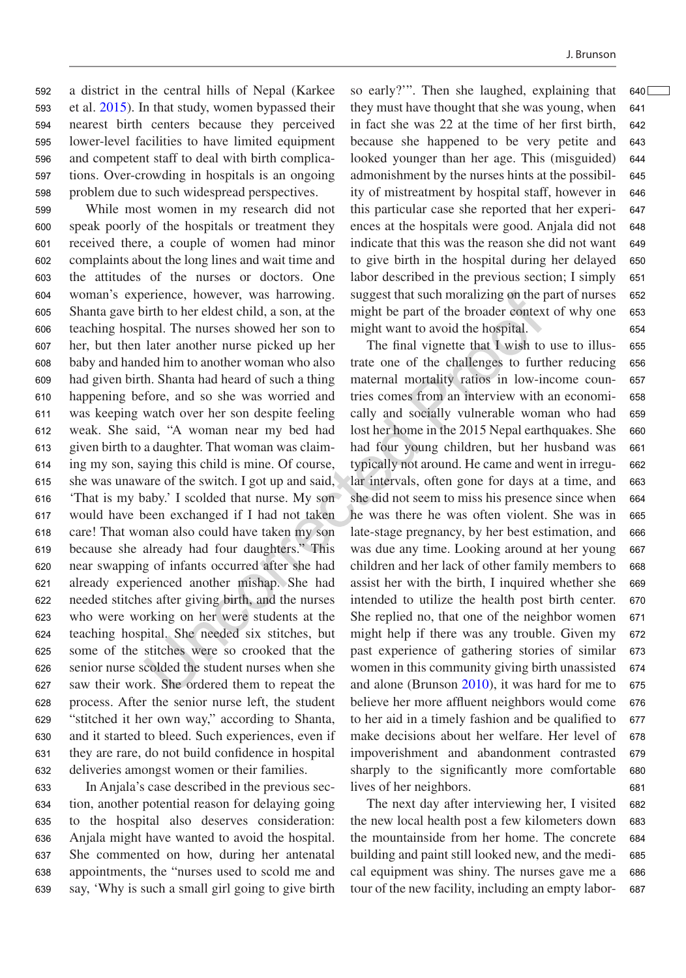┓

a district in the central hills of Nepal (Karkee et al. [2015](#page-11-0)). In that study, women bypassed their nearest birth centers because they perceived lower-level facilities to have limited equipment and competent staff to deal with birth complications. Over-crowding in hospitals is an ongoing problem due to such widespread perspectives. 592 593 594 595 596 597 598

While most women in my research did not speak poorly of the hospitals or treatment they received there, a couple of women had minor complaints about the long lines and wait time and the attitudes of the nurses or doctors. One woman's experience, however, was harrowing. Shanta gave birth to her eldest child, a son, at the teaching hospital. The nurses showed her son to her, but then later another nurse picked up her baby and handed him to another woman who also had given birth. Shanta had heard of such a thing happening before, and so she was worried and was keeping watch over her son despite feeling weak. She said, "A woman near my bed had given birth to a daughter. That woman was claiming my son, saying this child is mine. Of course, she was unaware of the switch. I got up and said, 'That is my baby.' I scolded that nurse. My son would have been exchanged if I had not taken care! That woman also could have taken my son because she already had four daughters." This near swapping of infants occurred after she had already experienced another mishap. She had needed stitches after giving birth, and the nurses who were working on her were students at the teaching hospital. She needed six stitches, but some of the stitches were so crooked that the senior nurse scolded the student nurses when she saw their work. She ordered them to repeat the process. After the senior nurse left, the student "stitched it her own way," according to Shanta, and it started to bleed. Such experiences, even if they are rare, do not build confidence in hospital deliveries amongst women or their families. 599 600 601 602 603 604 605 606 607 608 609 610 611 612 613 614 615 616 617 618 619 620 621 622 623 624 625 626 627 628 629 630 631 632

In Anjala's case described in the previous section, another potential reason for delaying going to the hospital also deserves consideration: Anjala might have wanted to avoid the hospital. She commented on how, during her antenatal appointments, the "nurses used to scold me and say, 'Why is such a small girl going to give birth 633 634 635 636 637 638 639

so early?'". Then she laughed, explaining that they must have thought that she was young, when in fact she was 22 at the time of her first birth, because she happened to be very petite and looked younger than her age. This (misguided) admonishment by the nurses hints at the possibility of mistreatment by hospital staff, however in this particular case she reported that her experiences at the hospitals were good. Anjala did not indicate that this was the reason she did not want to give birth in the hospital during her delayed labor described in the previous section; I simply suggest that such moralizing on the part of nurses might be part of the broader context of why one might want to avoid the hospital. 640 $\square$ 641 642 643 644 645 646 647 648 649 650 651 652 653 654

The final vignette that I wish to use to illustrate one of the challenges to further reducing maternal mortality ratios in low-income countries comes from an interview with an economically and socially vulnerable woman who had lost her home in the 2015 Nepal earthquakes. She had four young children, but her husband was typically not around. He came and went in irregular intervals, often gone for days at a time, and she did not seem to miss his presence since when he was there he was often violent. She was in late-stage pregnancy, by her best estimation, and was due any time. Looking around at her young children and her lack of other family members to assist her with the birth, I inquired whether she intended to utilize the health post birth center. She replied no, that one of the neighbor women might help if there was any trouble. Given my past experience of gathering stories of similar women in this community giving birth unassisted and alone (Brunson [2010\)](#page-10-0), it was hard for me to believe her more affluent neighbors would come to her aid in a timely fashion and be qualified to make decisions about her welfare. Her level of impoverishment and abandonment contrasted sharply to the significantly more comfortable lives of her neighbors. 655 656 657 658 659 660 661 662 663 664 665 666 667 668 669 670 671 672 673 674 675 676 677 678 679 680 681

The next day after interviewing her, I visited the new local health post a few kilometers down the mountainside from her home. The concrete building and paint still looked new, and the medical equipment was shiny. The nurses gave me a tour of the new facility, including an empty labor-682 683 684 685 686 687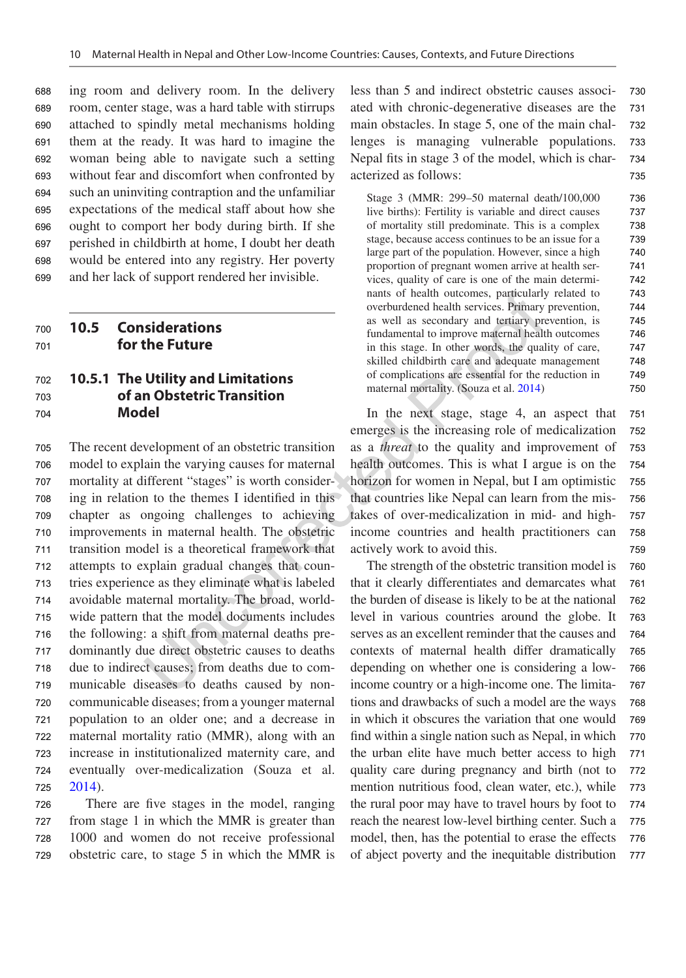ing room and delivery room. In the delivery room, center stage, was a hard table with stirrups attached to spindly metal mechanisms holding them at the ready. It was hard to imagine the woman being able to navigate such a setting without fear and discomfort when confronted by such an uninviting contraption and the unfamiliar expectations of the medical staff about how she ought to comport her body during birth. If she perished in childbirth at home, I doubt her death would be entered into any registry. Her poverty and her lack of support rendered her invisible. 688 689 690 691 692 693 694 695 696 697 698 699

**10.5 Considerations for the Future** 700 701

### **10.5.1 The Utility and Limitations of an Obstetric Transition Model** 702 703 704

The recent development of an obstetric transition model to explain the varying causes for maternal mortality at different "stages" is worth considering in relation to the themes I identified in this chapter as ongoing challenges to achieving improvements in maternal health. The obstetric transition model is a theoretical framework that attempts to explain gradual changes that countries experience as they eliminate what is labeled avoidable maternal mortality. The broad, worldwide pattern that the model documents includes the following: a shift from maternal deaths predominantly due direct obstetric causes to deaths due to indirect causes; from deaths due to communicable diseases to deaths caused by noncommunicable diseases; from a younger maternal population to an older one; and a decrease in maternal mortality ratio (MMR), along with an increase in institutionalized maternity care, and eventually over-medicalization (Souza et al. [2014](#page-12-0)). 705 706 707 708 709 710 711 712 713 714 715 716 717 718 719 720 721 722 723 724 725

There are five stages in the model, ranging from stage 1 in which the MMR is greater than 1000 and women do not receive professional obstetric care, to stage 5 in which the MMR is 726 727 728 729

less than 5 and indirect obstetric causes associated with chronic-degenerative diseases are the main obstacles. In stage 5, one of the main challenges is managing vulnerable populations. Nepal fits in stage 3 of the model, which is characterized as follows: 730 731 732 733 734 735

Stage 3 (MMR: 299–50 maternal death/100,000 live births): Fertility is variable and direct causes of mortality still predominate. This is a complex stage, because access continues to be an issue for a large part of the population. However, since a high proportion of pregnant women arrive at health services, quality of care is one of the main determinants of health outcomes, particularly related to overburdened health services. Primary prevention, as well as secondary and tertiary prevention, is fundamental to improve maternal health outcomes in this stage. In other words, the quality of care, skilled childbirth care and adequate management of complications are essential for the reduction in maternal mortality. (Souza et al. [2014](#page-12-0)) 736 737 738 739 740 741 742 743 744 745 746 747 748 749 750

In the next stage, stage 4, an aspect that emerges is the increasing role of medicalization as a *threat* to the quality and improvement of health outcomes. This is what I argue is on the horizon for women in Nepal, but I am optimistic that countries like Nepal can learn from the mistakes of over-medicalization in mid- and highincome countries and health practitioners can actively work to avoid this. 751 752 753 754 755 756 757 758 759

The strength of the obstetric transition model is that it clearly differentiates and demarcates what the burden of disease is likely to be at the national level in various countries around the globe. It serves as an excellent reminder that the causes and contexts of maternal health differ dramatically depending on whether one is considering a lowincome country or a high-income one. The limitations and drawbacks of such a model are the ways in which it obscures the variation that one would find within a single nation such as Nepal, in which the urban elite have much better access to high quality care during pregnancy and birth (not to mention nutritious food, clean water, etc.), while the rural poor may have to travel hours by foot to reach the nearest low-level birthing center. Such a model, then, has the potential to erase the effects of abject poverty and the inequitable distribution 760 761 762 763 764 765 766 767 768 769 770 771 772 773 774 775 776 777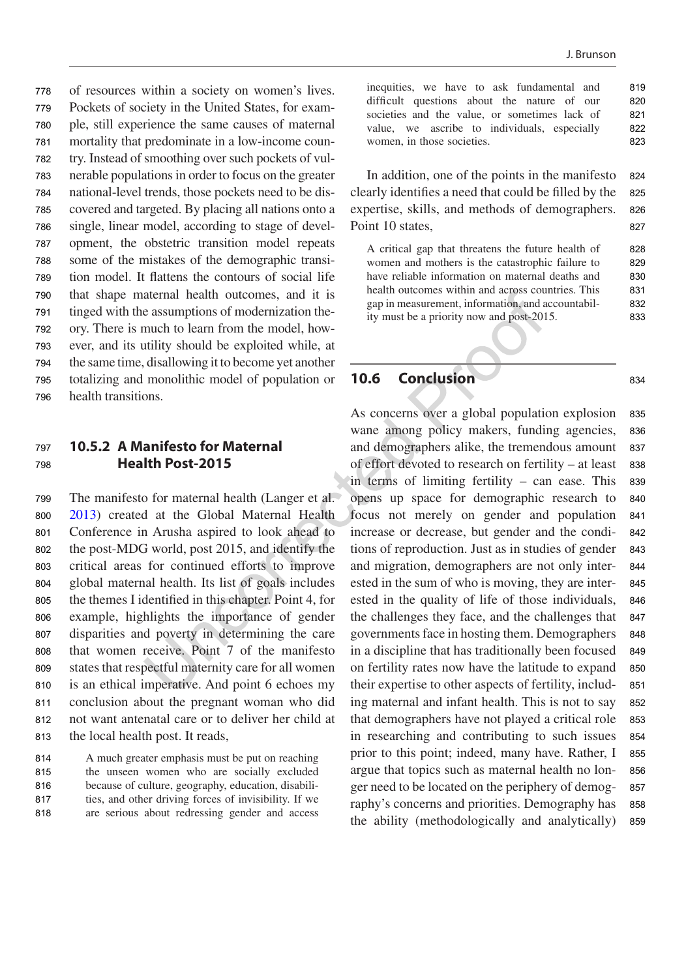of resources within a society on women's lives. Pockets of society in the United States, for example, still experience the same causes of maternal mortality that predominate in a low-income country. Instead of smoothing over such pockets of vulnerable populations in order to focus on the greater national-level trends, those pockets need to be discovered and targeted. By placing all nations onto a single, linear model, according to stage of development, the obstetric transition model repeats some of the mistakes of the demographic transition model. It flattens the contours of social life that shape maternal health outcomes, and it is tinged with the assumptions of modernization theory. There is much to learn from the model, however, and its utility should be exploited while, at the same time, disallowing it to become yet another totalizing and monolithic model of population or health transitions. 778 779 780 781 782 783 784 785 786 787 788 789 790 791 792 793 794 795 796

#### **10.5.2 A Manifesto for Maternal Health Post-2015** 797 798

The manifesto for maternal health (Langer et al. [2013](#page-11-0)) created at the Global Maternal Health Conference in Arusha aspired to look ahead to the post-MDG world, post 2015, and identify the critical areas for continued efforts to improve global maternal health. Its list of goals includes the themes I identified in this chapter. Point 4, for example, highlights the importance of gender disparities and poverty in determining the care that women receive. Point 7 of the manifesto states that respectful maternity care for all women is an ethical imperative. And point 6 echoes my conclusion about the pregnant woman who did not want antenatal care or to deliver her child at the local health post. It reads, 799 800 801 802 803 804 805 806 807 808 809 810 811 812 813

A much greater emphasis must be put on reaching the unseen women who are socially excluded because of culture, geography, education, disabilities, and other driving forces of invisibility. If we are serious about redressing gender and access 814 815 816 817 818

| inequities, we have to ask fundamental and    | 819 |
|-----------------------------------------------|-----|
| difficult questions about the nature of our   | 820 |
| societies and the value, or sometimes lack of | 821 |
| value, we ascribe to individuals, especially  | 822 |
| women, in those societies.                    | 823 |

In addition, one of the points in the manifesto clearly identifies a need that could be filled by the expertise, skills, and methods of demographers. Point 10 states, 824 825 826 827

A critical gap that threatens the future health of women and mothers is the catastrophic failure to have reliable information on maternal deaths and health outcomes within and across countries. This gap in measurement, information, and accountability must be a priority now and post-2015. 828 829 830 831 832 833

### **10.6 Conclusion**

834

As concerns over a global population explosion wane among policy makers, funding agencies, and demographers alike, the tremendous amount of effort devoted to research on fertility – at least in terms of limiting fertility  $-$  can ease. This opens up space for demographic research to focus not merely on gender and population increase or decrease, but gender and the conditions of reproduction. Just as in studies of gender and migration, demographers are not only interested in the sum of who is moving, they are interested in the quality of life of those individuals, the challenges they face, and the challenges that governments face in hosting them. Demographers in a discipline that has traditionally been focused on fertility rates now have the latitude to expand their expertise to other aspects of fertility, including maternal and infant health. This is not to say that demographers have not played a critical role in researching and contributing to such issues prior to this point; indeed, many have. Rather, I argue that topics such as maternal health no longer need to be located on the periphery of demography's concerns and priorities. Demography has the ability (methodologically and analytically) 835 836 837 838 839 840 841 842 843 844 845 846 847 848 849 850 851 852 853 854 855 856 857 858 859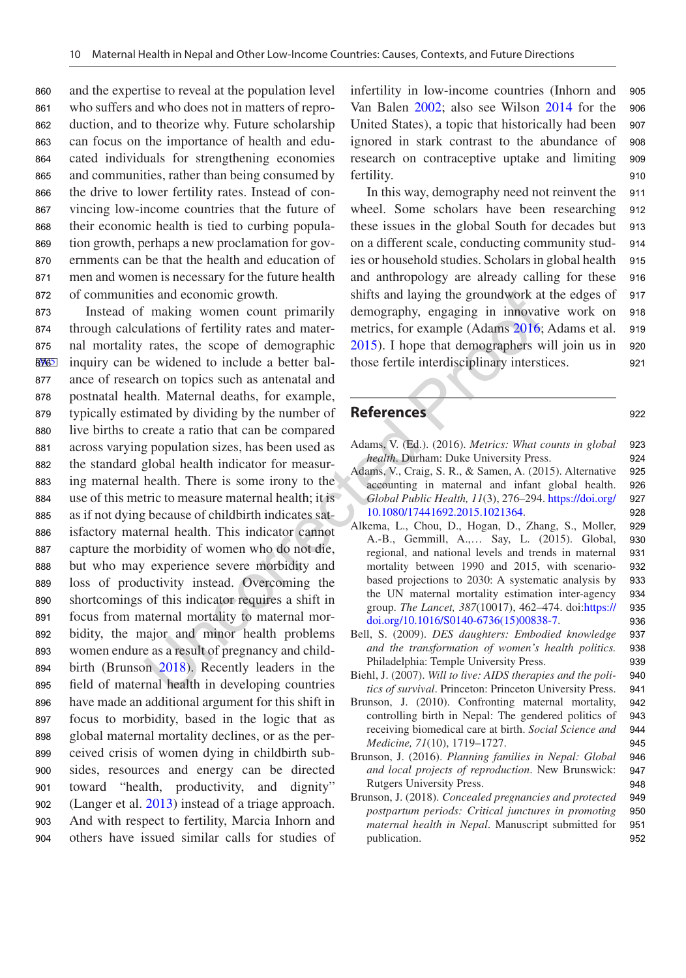<span id="page-10-0"></span>and the expertise to reveal at the population level who suffers and who does not in matters of reproduction, and to theorize why. Future scholarship can focus on the importance of health and educated individuals for strengthening economies and communities, rather than being consumed by the drive to lower fertility rates. Instead of convincing low-income countries that the future of their economic health is tied to curbing population growth, perhaps a new proclamation for governments can be that the health and education of men and women is necessary for the future health of communities and economic growth. 860 861 862 863 864 865 866 867 868 869 870 871 872

Instead of making women count primarily through calculations of fertility rates and maternal mortality rates, the scope of demographic inquiry can be widened to include a better balance of research on topics such as antenatal and postnatal health. Maternal deaths, for example, typically estimated by dividing by the number of live births to create a ratio that can be compared across varying population sizes, has been used as the standard global health indicator for measuring maternal health. There is some irony to the use of this metric to measure maternal health; it is as if not dying because of childbirth indicates satisfactory maternal health. This indicator cannot capture the morbidity of women who do not die, but who may experience severe morbidity and loss of productivity instead. Overcoming the shortcomings of this indicator requires a shift in focus from maternal mortality to maternal morbidity, the major and minor health problems women endure as a result of pregnancy and childbirth (Brunson 2018). Recently leaders in the field of maternal health in developing countries have made an additional argument for this shift in focus to morbidity, based in the logic that as global maternal mortality declines, or as the perceived crisis of women dying in childbirth subsides, resources and energy can be directed toward "health, productivity, and dignity" (Langer et al. [2013](#page-11-0)) instead of a triage approach. And with respect to fertility, Marcia Inhorn and others have issued similar calls for studies of 8765 873 874 875 877 878 879 880 881 882 883 884 885 886 887 888 889 890 891 892 893 894 895 896 897 898 899 900 901 902 903 904

infertility in low-income countries (Inhorn and Van Balen [2002](#page-11-0); also see Wilson [2014](#page-12-0) for the United States), a topic that historically had been ignored in stark contrast to the abundance of research on contraceptive uptake and limiting fertility. 905 906 907 908 909 910

In this way, demography need not reinvent the wheel. Some scholars have been researching these issues in the global South for decades but on a different scale, conducting community studies or household studies. Scholars in global health and anthropology are already calling for these shifts and laying the groundwork at the edges of demography, engaging in innovative work on metrics, for example (Adams 2016; Adams et al. 2015). I hope that demographers will join us in those fertile interdisciplinary interstices. 911 912 913 914 915 916 917 918 919 920 921

### **References**

Adams, V. (Ed.). (2016). *Metrics: What counts in global health*. Durham: Duke University Press. 923 924

922

- Adams, V., Craig, S. R., & Samen, A. (2015). Alternative accounting in maternal and infant global health. *Global Public Health, 11*(3), 276–294. [https://doi.org/](https://doi.org/10.1080/17441692.2015.1021364) [10.1080/17441692.2015.1021364.](https://doi.org/10.1080/17441692.2015.1021364) 925 926 927 928
- Alkema, L., Chou, D., Hogan, D., Zhang, S., Moller, A.-B., Gemmill, A.,… Say, L. (2015). Global, regional, and national levels and trends in maternal mortality between 1990 and 2015, with scenariobased projections to 2030: A systematic analysis by the UN maternal mortality estimation inter-agency group. *The Lancet, 387*(10017), 462–474. doi:[https://](https://doi.org/10.1016/S0140-6736(15)00838-7) [doi.org/10.1016/S0140-6736\(15\)00838-7.](https://doi.org/10.1016/S0140-6736(15)00838-7) 929 930 931 932 933 934 935 936
- Bell, S. (2009). *DES daughters: Embodied knowledge and the transformation of women's health politics.* Philadelphia: Temple University Press. 937 938 939
- Biehl, J. (2007). *Will to live: AIDS therapies and the politics of survival*. Princeton: Princeton University Press. 940 941
- Brunson, J. (2010). Confronting maternal mortality, controlling birth in Nepal: The gendered politics of receiving biomedical care at birth. *Social Science and Medicine, 71*(10), 1719–1727. 942 943 944 945
- Brunson, J. (2016). *Planning families in Nepal: Global and local projects of reproduction*. New Brunswick: Rutgers University Press. 946 947 948
- Brunson, J. (2018). *Concealed pregnancies and protected postpartum periods: Critical junctures in promoting maternal health in Nepal*. Manuscript submitted for publication. 949 950 951 952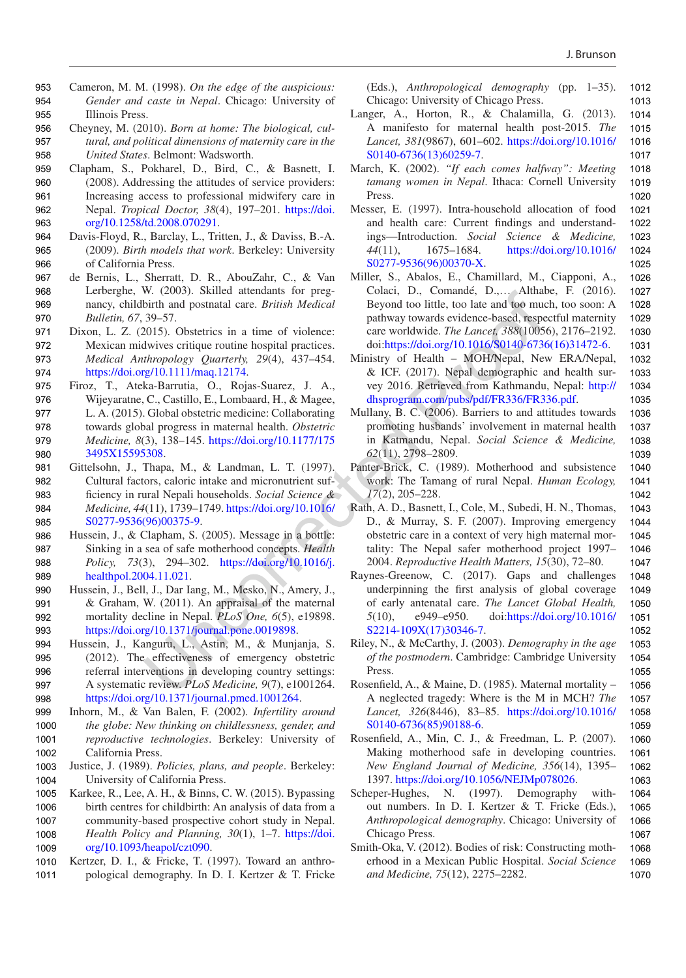1014

1067

- <span id="page-11-0"></span>Cameron, M. M. (1998). *On the edge of the auspicious: Gender and caste in Nepal*. Chicago: University of Illinois Press. 953 954 955
- Cheyney, M. (2010). *Born at home: The biological, cultural, and political dimensions of maternity care in the United States*. Belmont: Wadsworth. 956 957 958
- Clapham, S., Pokharel, D., Bird, C., & Basnett, I. (2008). Addressing the attitudes of service providers: Increasing access to professional midwifery care in Nepal. *Tropical Doctor, 38*(4), 197–201. [https://doi.](https://doi.org/10.1258/td.2008.070291) [org/10.1258/td.2008.070291.](https://doi.org/10.1258/td.2008.070291) 959 960 961 962 963
- Davis-Floyd, R., Barclay, L., Tritten, J., & Daviss, B.-A. (2009). *Birth models that work*. Berkeley: University of California Press. 964 965 966
- de Bernis, L., Sherratt, D. R., AbouZahr, C., & Van Lerberghe, W. (2003). Skilled attendants for pregnancy, childbirth and postnatal care. *British Medical Bulletin, 67*, 39–57. 967 968 969 970
- Dixon, L. Z. (2015). Obstetrics in a time of violence: Mexican midwives critique routine hospital practices. *Medical Anthropology Quarterly, 29*(4), 437–454. <https://doi.org/10.1111/maq.12174>. 971 972 973 974
- Firoz, T., Ateka-Barrutia, O., Rojas-Suarez, J. A., Wijeyaratne, C., Castillo, E., Lombaard, H., & Magee, L. A. (2015). Global obstetric medicine: Collaborating towards global progress in maternal health. *Obstetric Medicine, 8*(3), 138–145. [https://doi.org/10.1177/175](https://doi.org/10.1177/1753495X15595308) [3495X15595308](https://doi.org/10.1177/1753495X15595308). 975 976 977 978 979 980
- Gittelsohn, J., Thapa, M., & Landman, L. T. (1997). Cultural factors, caloric intake and micronutrient sufficiency in rural Nepali households. *Social Science & Medicine, 44*(11), 1739–1749. [https://doi.org/10.1016/](https://doi.org/10.1016/S0277-9536(96)00375-9) [S0277-9536\(96\)00375-9](https://doi.org/10.1016/S0277-9536(96)00375-9). 981 982 983 984 985
- Hussein, J., & Clapham, S. (2005). Message in a bottle: Sinking in a sea of safe motherhood concepts. *Health Policy, 73*(3), 294–302. [https://doi.org/10.1016/j.](https://doi.org/10.1016/j.healthpol.2004.11.021) [healthpol.2004.11.021](https://doi.org/10.1016/j.healthpol.2004.11.021). 986 987 988 989
- Hussein, J., Bell, J., Dar Iang, M., Mesko, N., Amery, J., & Graham, W. (2011). An appraisal of the maternal mortality decline in Nepal. *PLoS One, 6*(5), e19898. [https://doi.org/10.1371/journal.pone.0019898.](https://doi.org/10.1371/journal.pone.0019898) 990 991 992 993
- Hussein, J., Kanguru, L., Astin, M., & Munjanja, S. (2012). The effectiveness of emergency obstetric referral interventions in developing country settings: A systematic review. *PLoS Medicine, 9*(7), e1001264. <https://doi.org/10.1371/journal.pmed.1001264>. 994 995 996 997 998
- Inhorn, M., & Van Balen, F. (2002). *Infertility around the globe: New thinking on childlessness, gender, and reproductive technologies*. Berkeley: University of California Press. 999 1000 1001 1002
- Justice, J. (1989). *Policies, plans, and people*. Berkeley: University of California Press. 1003 1004
- Karkee, R., Lee, A. H., & Binns, C. W. (2015). Bypassing birth centres for childbirth: An analysis of data from a community-based prospective cohort study in Nepal. *Health Policy and Planning, 30*(1), 1–7. [https://doi.](https://doi.org/10.1093/heapol/czt090) [org/10.1093/heapol/czt090](https://doi.org/10.1093/heapol/czt090). 1005 1006 1007 1008 1009
- Kertzer, D. I., & Fricke, T. (1997). Toward an anthropological demography. In D. I. Kertzer & T. Fricke 1010 1011

(Eds.), *Anthropological demography* (pp. 1–35). Chicago: University of Chicago Press. 1012 1013

- Langer, A., Horton, R., & Chalamilla, G. (2013). A manifesto for maternal health post-2015. *The Lancet, 381*(9867), 601–602. [https://doi.org/10.1016/](https://doi.org/10.1016/S0140-6736(13)60259-7) [S0140-6736\(13\)60259-7.](https://doi.org/10.1016/S0140-6736(13)60259-7) 1015 1016
- March, K. (2002). *"If each comes halfway": Meeting tamang women in Nepal*. Ithaca: Cornell University Press.
- Messer, E. (1997). Intra-household allocation of food and health care: Current findings and understandings—Introduction. *Social Science & Medicine, 44*(11), 1675–1684. [https://doi.org/10.1016/](https://doi.org/10.1016/S0277-9536(96)00370-X) [S0277-9536\(96\)00370-X.](https://doi.org/10.1016/S0277-9536(96)00370-X) 1021 1022 1023 1024 1025
- Miller, S., Abalos, E., Chamillard, M., Ciapponi, A., Colaci, D., Comandé, D.,… Althabe, F. (2016). Beyond too little, too late and too much, too soon: A pathway towards evidence-based, respectful maternity care worldwide. *The Lancet, 388*(10056), 2176–2192. doi[:https://doi.org/10.1016/S0140-6736\(16\)31472-6](https://doi.org/10.1016/S0140-6736(16)31472-6). 1026 1027 1028 1029 1030 1031
- Ministry of Health MOH/Nepal, New ERA/Nepal, & ICF. (2017). Nepal demographic and health survey 2016. Retrieved from Kathmandu, Nepal: [http://](http://dhsprogram.com/pubs/pdf/FR336/FR336.pdf) [dhsprogram.com/pubs/pdf/FR336/FR336.pdf.](http://dhsprogram.com/pubs/pdf/FR336/FR336.pdf) 1032 1033 1034 1035
- Mullany, B. C. (2006). Barriers to and attitudes towards promoting husbands' involvement in maternal health in Katmandu, Nepal. *Social Science & Medicine, 62*(11), 2798–2809.
- Panter-Brick, C. (1989). Motherhood and subsistence work: The Tamang of rural Nepal. *Human Ecology, 17*(2), 205–228.
- Rath, A. D., Basnett, I., Cole, M., Subedi, H. N., Thomas, D., & Murray, S. F. (2007). Improving emergency obstetric care in a context of very high maternal mortality: The Nepal safer motherhood project 1997– 2004. *Reproductive Health Matters, 15*(30), 72–80. 1043 1044 1045 1046
- Raynes-Greenow, C. (2017). Gaps and challenges underpinning the first analysis of global coverage of early antenatal care. *The Lancet Global Health, 5*(10), e949–e950. doi[:https://doi.org/10.1016/](https://doi.org/10.1016/S2214-109X(17)30346-7) [S2214-109X\(17\)30346-7.](https://doi.org/10.1016/S2214-109X(17)30346-7)
- Riley, N., & McCarthy, J. (2003). *Demography in the age of the postmodern*. Cambridge: Cambridge University Press.
- Rosenfield, A., & Maine, D. (1985). Maternal mortality A neglected tragedy: Where is the M in MCH? *The Lancet, 326*(8446), 83–85. [https://doi.org/10.1016/](https://doi.org/10.1016/S0140-6736(85)90188-6) [S0140-6736\(85\)90188-6.](https://doi.org/10.1016/S0140-6736(85)90188-6)
- Rosenfield, A., Min, C. J., & Freedman, L. P. (2007). Making motherhood safe in developing countries. *New England Journal of Medicine, 356*(14), 1395– 1397.<https://doi.org/10.1056/NEJMp078026>.
- Scheper-Hughes, N. (1997). Demography without numbers. In D. I. Kertzer & T. Fricke (Eds.), *Anthropological demography*. Chicago: University of Chicago Press. 1066
- Smith-Oka, V. (2012). Bodies of risk: Constructing motherhood in a Mexican Public Hospital. *Social Science and Medicine, 75*(12), 2275–2282. 1068 1069 1070